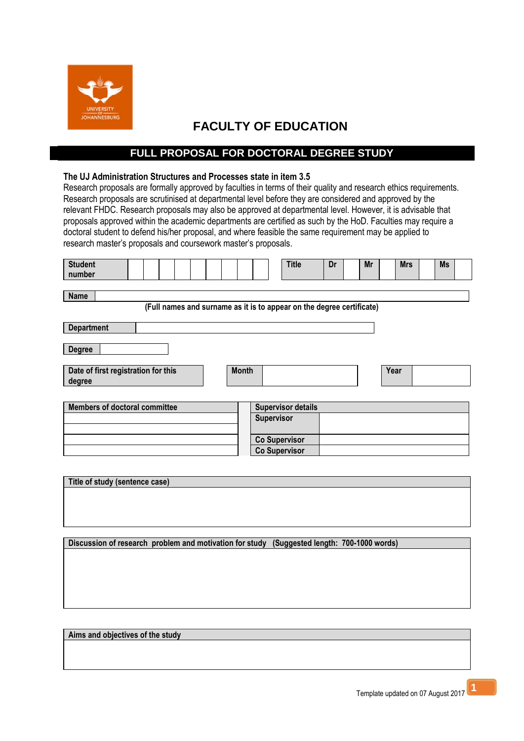

## **FACULTY OF EDUCATION**

## **FULL PROPOSAL FOR DOCTORAL DEGREE STUDY**

## **The UJ Administration Structures and Processes state in item 3.5**

Research proposals are formally approved by faculties in terms of their quality and research ethics requirements. Research proposals are scrutinised at departmental level before they are considered and approved by the relevant FHDC. Research proposals may also be approved at departmental level. However, it is advisable that proposals approved within the academic departments are certified as such by the HoD. Faculties may require a doctoral student to defend his/her proposal, and where feasible the same requirement may be applied to research master's proposals and coursework master's proposals.

| <b>Student</b><br>number                                                             |  |  |  |              |                           | <b>Title</b>         | Dr | Mr | <b>Mrs</b> | <b>Ms</b> |
|--------------------------------------------------------------------------------------|--|--|--|--------------|---------------------------|----------------------|----|----|------------|-----------|
| <b>Name</b><br>(Full names and surname as it is to appear on the degree certificate) |  |  |  |              |                           |                      |    |    |            |           |
| <b>Department</b>                                                                    |  |  |  |              |                           |                      |    |    |            |           |
| <b>Degree</b>                                                                        |  |  |  |              |                           |                      |    |    |            |           |
| Date of first registration for this<br>degree                                        |  |  |  | <b>Month</b> |                           |                      |    |    | Year       |           |
|                                                                                      |  |  |  |              |                           |                      |    |    |            |           |
| <b>Members of doctoral committee</b>                                                 |  |  |  |              | <b>Supervisor details</b> |                      |    |    |            |           |
|                                                                                      |  |  |  | Supervisor   |                           |                      |    |    |            |           |
|                                                                                      |  |  |  |              | <b>Co Supervisor</b>      |                      |    |    |            |           |
|                                                                                      |  |  |  |              |                           | <b>Co Supervisor</b> |    |    |            |           |

**Discussion of research problem and motivation for study (Suggested length: 700-1000 words)**

**Aims and objectives of the study**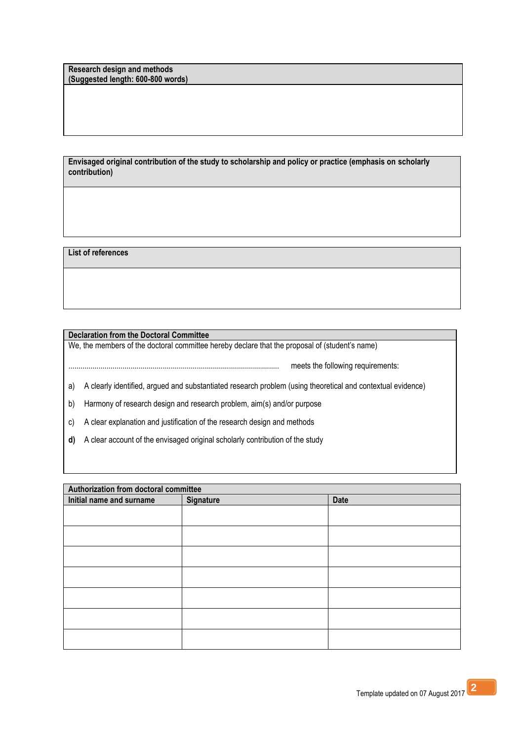**Research design and methods (Suggested length: 600-800 words)**

**Envisaged original contribution of the study to scholarship and policy or practice (emphasis on scholarly contribution)**

**List of references**

**Declaration from the Doctoral Committee**

We, the members of the doctoral committee hereby declare that the proposal of (student's name)

......................................................................................................... meets the following requirements:

a) A clearly identified, argued and substantiated research problem (using theoretical and contextual evidence)

b) Harmony of research design and research problem, aim(s) and/or purpose

c) A clear explanation and justification of the research design and methods

**d)** A clear account of the envisaged original scholarly contribution of the study

| Authorization from doctoral committee |           |             |  |  |  |
|---------------------------------------|-----------|-------------|--|--|--|
| Initial name and surname              | Signature | <b>Date</b> |  |  |  |
|                                       |           |             |  |  |  |
|                                       |           |             |  |  |  |
|                                       |           |             |  |  |  |
|                                       |           |             |  |  |  |
|                                       |           |             |  |  |  |
|                                       |           |             |  |  |  |
|                                       |           |             |  |  |  |
|                                       |           |             |  |  |  |
|                                       |           |             |  |  |  |
|                                       |           |             |  |  |  |
|                                       |           |             |  |  |  |
|                                       |           |             |  |  |  |
|                                       |           |             |  |  |  |
|                                       |           |             |  |  |  |